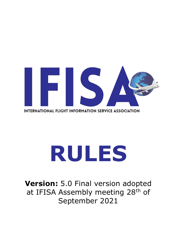

# **RULES**

**Version:** 5.0 Final version adopted at IFISA Assembly meeting 28<sup>th</sup> of September 2021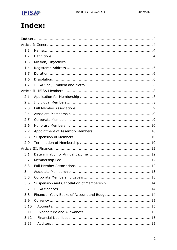

## <span id="page-1-0"></span>Index:

| 1.1  |  |  |
|------|--|--|
| 1.2  |  |  |
| 1.3  |  |  |
| 1.4  |  |  |
| 1.5  |  |  |
| 1.6  |  |  |
| 1.7  |  |  |
|      |  |  |
| 2.1  |  |  |
| 2.2  |  |  |
| 2.3  |  |  |
| 2.4  |  |  |
| 2.5  |  |  |
| 2.6  |  |  |
| 2.7  |  |  |
| 2.8  |  |  |
| 2.9  |  |  |
|      |  |  |
| 3.1  |  |  |
| 3.2  |  |  |
| 3.3  |  |  |
| 3.4  |  |  |
| 3.5  |  |  |
| 3.6  |  |  |
| 3.7  |  |  |
| 3.8  |  |  |
| 3.9  |  |  |
| 3.10 |  |  |
| 3.11 |  |  |
| 3.12 |  |  |
| 3.13 |  |  |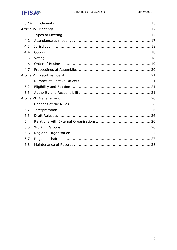

| 3.14 |  |  |
|------|--|--|
|      |  |  |
| 4.1  |  |  |
| 4.2  |  |  |
| 4.3  |  |  |
| 4.4  |  |  |
| 4.5  |  |  |
| 4.6  |  |  |
| 4.7  |  |  |
|      |  |  |
| 5.1  |  |  |
| 5.2  |  |  |
| 5.3  |  |  |
|      |  |  |
| 6.1  |  |  |
| 6.2  |  |  |
| 6.3  |  |  |
| 6.4  |  |  |
| 6.5  |  |  |
| 6.6  |  |  |
| 6.7  |  |  |
| 6.8  |  |  |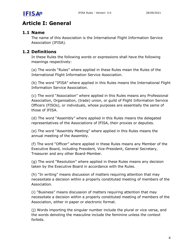

#### **Article I: General**

#### <span id="page-3-0"></span>**1.1 Name**

The name of this Association is the International Flight Information Service Association (IFISA).

#### <span id="page-3-1"></span>**1.2 Definitions**

In these Rules the following words or expressions shall have the following meanings respectively:

<span id="page-3-2"></span>(a) The words "Rules" where applied in these Rules mean the Rules of the International Flight Information Service Association.

(b) The word "IFISA" where applied in this Rules means the International Flight Information Service Association.

(c) The word "Association" where applied in this Rules means any Professional Association, Organisation, (trade) union, or guild of Flight Information Service Officers (FISOs), or individuals, whose purposes are essentially the same of those of IFISA.

(d) The word "Assembly" where applied in this Rules means the delegated representatives of the Associations of IFISA, their proxies or deputies.

(e) The word "Assembly Meeting" where applied in this Rules means the annual meeting of the Assembly.

(f) The word "Officer" where applied in these Rules means any Member of the Executive Board, including President, Vice-President, General Secretary, Treasurer and any other Board-Member.

(g) The word "Resolution" where applied in these Rules means any decision taken by the Executive Board in accordance with the Rules.

(h) "In writing" means discussion of matters requiring attention that may necessitate a decision within a properly constituted meeting of members of the Association.

(i) "Business" means discussion of matters requiring attention that may necessitate a decision within a properly constituted meeting of members of the Association, either in paper or electronic format.

(j) Words importing the singular number include the plural or vice versa, and the words denoting the masculine include the feminine unless the context forbids.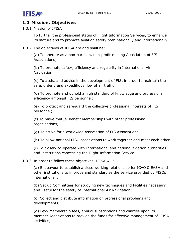

#### **1.3 Mission, Objectives**

<span id="page-4-0"></span>1.3.1 Mission of IFISA

To further the professional status of Flight Information Services, to enhance its stature and to promote aviation safety both nationally and internationally.

1.3.2 The objectives of IFISA are and shall be:

(a) To operate as a non-partisan, non-profit-making Association of FIS Associations;

(b) To promote safety, efficiency and regularity in International Air Navigation;

(c) To assist and advise in the development of FIS, in order to maintain the safe, orderly and expeditious flow of air traffic;

(d) To promote and uphold a high standard of knowledge and professional efficiency amongst FIS personnel;

(e) To protect and safeguard the collective professional interests of FIS personnel;

(f) To make mutual benefit Memberships with other professional organisations;

(g) To strive for a worldwide Association of FIS Associations.

(h) To allow national FISO associations to work together and meet each other

(i) To closely co-operate with International and national aviation authorities and institutions concerning the Flight Information Service.

#### 1.3.3 In order to follow these objectives, IFISA will:

(a) Endeavour to establish a close working relationship for ICAO & EASA and other institutions to improve and standardise the service provided by FISOs internationally

(b) Set up Committees for studying new techniques and facilities necessary and useful for the safety of International Air Navigation;

(c) Collect and distribute information on professional problems and developments;

(d) Levy Membership fees, annual subscriptions and charges upon its member Associations to provide the funds for effective management of IFISA activities;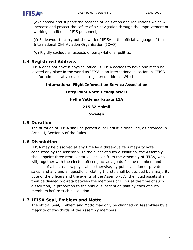(e) Sponsor and support the passage of legislation and regulations which will increase and protect the safety of air navigation through the improvement of working conditions of FIS personnel;

(f) Endeavour to carry out the work of IFISA in the official language of the International Civil Aviation Organisation (ICAO).

(g) Rigidly exclude all aspects of party/National politics.

#### **1.4 Registered Address**

<span id="page-5-0"></span>IFISA does not have a physical office. If IFISA decides to have one it can be located any place in the world as IFISA is an international association. IFISA has for administrative reasons a registered address. Which is:

#### **International Flight Information Service Association**

#### **Entry Point North Headquarters**

#### **Hyllie Vattenparksgata 11A**

#### **215 32 Malmö**

#### **Sweden**

#### **1.5 Duration**

The duration of IFISA shall be perpetual or until it is dissolved, as provided in Article I, Section 6 of the Rules.

#### <span id="page-5-1"></span>**1.6 Dissolution**

<span id="page-5-2"></span>IFISA may be dissolved at any time by a three-quarters majority vote, conducted by the Assembly. In the event of such dissolution, the Assembly shall appoint three representatives chosen from the Assembly of IFISA, who will, together with the elected officers, act as agents for the members and dispose of all its assets, physical or otherwise, by public auction or private sales, and any and all questions relating thereto shall be decided by a majority vote of the officers and the agents of the Assembly. All the liquid assets shall then be divided pro-rata between the members of IFISA at the time of such dissolution, in proportion to the annual subscription paid by each of such members before such dissolution.

#### **1.7 IFISA Seal, Emblem and Motto**

<span id="page-5-3"></span>The official Seal, Emblem and Motto may only be changed on Assemblies by a majority of two-thirds of the Assembly members.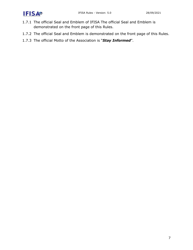

- 1.7.1 The official Seal and Emblem of IFISA The official Seal and Emblem is demonstrated on the front page of this Rules.
- 1.7.2 The official Seal and Emblem is demonstrated on the front page of this Rules.
- 1.7.3 The official Motto of the Association is "*Stay Informed*".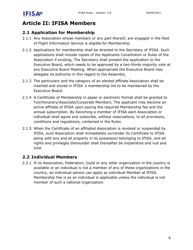

### **Article II: IFISA Members**

#### **2.1 Application for Membership**

- <span id="page-7-0"></span>2.1.1 Any Association whose members or any part thereof, are engaged in the field of Flight Information Service is eligible for Membership.
- <span id="page-7-1"></span>2.1.2 Applications for membership shall be directed to the Secretary of IFISA. Such applications shall include copies of the Applicants Constitution or Rules of the Association if existing. The Secretary shall present the application to the Executive Board, which needs to be approved by a two-thirds majority vote at any Executive Board Meeting. When appropriate the Executive Board may delegate its authority in this regard to the Assembly.
- 2.1.3 The particulars and the category of an elected affiliate Association shall be inserted and stored in IFISA´s membership list to be maintained by the Executive Board.
- 2.1.4 A Certificate of Membership in paper or electronic format shall be granted to Full/Honorary/Associate/Corporate Members. The applicant may become an active affiliate of IFISA upon paying the required Membership fee and the annual subscription. By becoming a member of IFISA each Association or individual shall agree and subscribe, without reservations, to all provisions, conditions and regulations, contained in the Rules.
- 2.1.5 When the Certificate of an affiliated Association is revoked or suspended by IFISA, such Association shall immediately surrender its Certificate to IFISA along with any and all property in its possession belonging to IFISA, and all rights and privileges thereunder shall thereafter be inoperative and null and void.

#### **2.2 Individual Members**

<span id="page-7-2"></span>2.2.1 If no Association, Federation, Guild or any other organization in the country is available or an individual is not a member of any of these organizations in the country, an individual person can apply as individual Member at IFISA. Membership Fee is as an individual is applicable unless the individual is not member of such a national organization.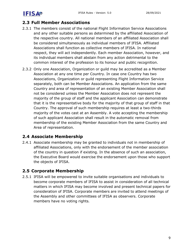#### **2.3 Full Member Associations**

- <span id="page-8-0"></span>2.3.1 The members consist of the national Flight Information Service Associations and any other suitable persons as determined by the affiliated Association of the respective country. All national members of an affiliated Association shall be considered simultaneously as individual members of IFISA. Affiliated Associations shall function as collective members of IFISA. In national respect, they will act independently. Each member Association, however, and its individual members shall abstain from any action detrimental to the common interest of the profession to its honour and public recognition.
- 2.3.2 Only one Association, Organization or guild may be accredited as a Member Association at any one time per Country. In case one Country has two Associations, Organization or guild representing Flight Information Service separately, both can be Member Associations. An application from the same Country and area of representation of an existing Member Association shall not be considered unless the Member Association does not represent the majority of the group of staff and the applicant Association can demonstrate that it is the representative body for the majority of that group of staff in that Country. The approval of such membership requires at least a two-thirds majority of the votes cast at an Assembly. A vote accepting the membership of such applicant Association shall result in the automatic removal from membership of the existing Member Association from the same Country and Area of representation.

#### **2.4 Associate Membership**

<span id="page-8-1"></span>2.4.1 Associate membership may be granted to individuals not in membership of affiliated Associations, only with the endorsement of the member association of the country in question if existing. In the absence of such an association, the Executive Board would exercise the endorsement upon those who support the objects of IFISA.

#### **2.5 Corporate Membership**

<span id="page-8-2"></span>2.5.1 IFISA will be empowered to invite suitable organisations and individuals to become corporate members of IFISA to assist in consideration of all technical matters in which IFISA may become involved and present technical papers for consideration of IFISA. Corporate members are invited to attend meetings of the Assembly and other committees of IFISA as observers. Corporate members have no voting rights.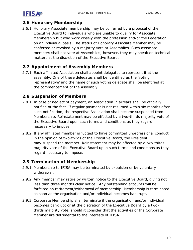

#### **2.6 Honorary Membership**

<span id="page-9-0"></span>2.6.1 Honorary Associate membership may be conferred by a proposal of the Executive Board to individuals who are unable to qualify for Associate Membership but who work closely with the profession and/or the Federation on an individual basis. The status of Honorary Associate Member may be conferred or revoked by a majority vote at Assemblies. Such associate members shall not vote at Assemblies; however, they may speak on technical matters at the discretion of the Executive Board.

#### **2.7 Appointment of Assembly Members**

<span id="page-9-1"></span>2.7.1 Each affiliated Association shall appoint delegates to represent it at the assembly. One of these delegates shall be identified as the 'voting representative' and the name of such voting delegate shall be identified at the commencement of the Assembly.

#### **2.8 Suspension of Members**

- <span id="page-9-2"></span>2.8.1 In case of neglect of payment, an Association in arrears shall be officially notified of the fact. If regular payment is not resumed within six months after such notification, the respective Association shall become suspended from Membership. Reinstatement may be effected by a two-thirds majority vote of the Executive Board upon such terms and conditions as they regard necessary to impose.
- 2.8.2 If any affiliated member is judged to have committed unprofessional conduct in the opinion of two-thirds of the Executive Board, the President may suspend the member. Reinstatement may be affected by a two-thirds majority vote of the Executive Board upon such terms and conditions as they regard necessary to impose.

#### **2.9 Termination of Membership**

- 2.9.1 Membership to IFISA may be terminated by expulsion or by voluntary withdrawal.
- <span id="page-9-3"></span>2.9.2 Any member may retire by written notice to the Executive Board, giving not less than three months clear notice. Any outstanding accounts will be forfeited on retirement/withdrawal of membership. Membership is terminated as soon as the organisation and/or individual becomes bankrupt.
- 2.9.3 Corporate Membership shall terminate if the organisation and/or individual becomes bankrupt or at the discretion of the Executive Board by a twothirds majority vote, should it consider that the activities of the Corporate Member are detrimental to the interests of IFISA.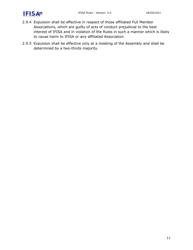

- 2.9.4 Expulsion shall be effective in respect of those affiliated Full Member Associations, which are guilty of acts of conduct prejudicial to the best interest of IFISA and in violation of the Rules in such a manner which is likely to cause harm to IFISA or any affiliated Association.
- 2.9.5 Expulsion shall be effective only at a meeting of the Assembly and shall be determined by a two-thirds majority.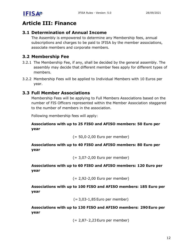

### **Article III: Finance**

#### <span id="page-11-0"></span>**3.1 Determination of Annual Income**

<span id="page-11-1"></span>The Assembly is empowered to determine any Membership fees, annual subscriptions and charges to be paid to IFISA by the member associations, associate members and corporate members.

#### **3.2 Membership Fee**

- 3.2.1 The Membership Fee, if any, shall be decided by the general assembly. The assembly may decide that different member fees apply for different types of members.
- <span id="page-11-2"></span>3.2.2 Membership Fees will be applied to Individual Members with 10 Euros per year.

#### **3.3 Full Member Associations**

<span id="page-11-3"></span>Membership Fees will be applying to Full Members Associations based on the number of FIS Officers represented within the Member Association staggered to the number of members in the association.

Following membership fees will apply:

#### **Associations with up to 25 FISO and AFISO members: 50 Euro per year**

(= 50,0-2,00 Euro per member)

**Associations with up to 40 FISO and AFISO members: 80 Euro per year** 

(= 3,07-2,00 Euro per member)

**Associations with up to 60 FISO and AFISO members: 120 Euro per year**

(= 2,92-2,00 Euro per member)

**Associations with up to 100 FISO and AFISO members: 185 Euro per year**

(= 3,03-1,85 Euro per member)

**Associations with up to 130 FISO and AFISO members:  290 Euro per year**

(= 2,87- 2,23 Euro per member)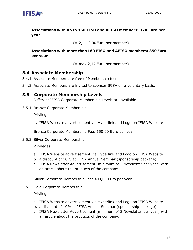

**Associations with up to 160 FISO and AFISO members: 320 Euro per year**

(= 2,44-2,00 Euro per member)

**Associations with more than 160 FISO and AFISO members: 350 Euro per year**

(= max 2,17 Euro per member)

#### **3.4 Associate Membership**

- 3.4.1 Associate Members are free of Membership fees.
- <span id="page-12-0"></span>3.4.2 Associate Members are invited to sponsor IFISA on a voluntary basis.

#### **3.5 Corporate Membership Levels**

Different IFISA Corporate Membership Levels are available.

3.5.1 Bronze Corporate Membership

<span id="page-12-1"></span>Privileges:

a. IFISA Website advertisement via Hyperlink and Logo on IFISA Website

Bronze Corporate Membership Fee: 150,00 Euro per year

3.5.2 Silver Corporate Membership

Privileges:

- a. IFISA Website advertisement via Hyperlink and Logo on IFISA Website
- b. a discount of 10% at IFISA Annual Seminar (sponsorship package)
- c. IFISA Newsletter Advertisement (minimum of 2 Newsletter per year) with an article about the products of the company.

Silver Corporate Membership Fee: 400,00 Euro per year

3.5.3 Gold Corporate Membership

Privileges:

- a. IFISA Website advertisement via Hyperlink and Logo on IFISA Website
- b. a discount of 10% at IFISA Annual Seminar (sponsorship package)
- c. IFISA Newsletter Advertisement (minimum of 2 Newsletter per year) with an article about the products of the company.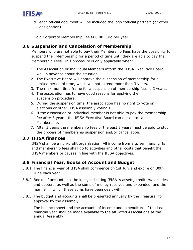

d. each official document will be included the logo "official partner" (or other designation)

Gold Corporate Membership Fee 600,00 Euro per year

#### **3.6 Suspension and Cancelation of Membership**

Members who are not able to pay their Membership Fees have the possibility to suspend their Membership for a period of time until they are able to pay their Membership Fees. This procedure is only applicable when:

- <span id="page-13-0"></span>1. The Association or Individual Members inform the IFISA Executive Board well in advance about the situation.
- 2. The Executive Board will approve the suspension of membership for a limited period of time, which will not extend more than 3 years.
- 3. The maximum time frame for a suspension of membership fees is 3 years.
- 4. The association has to have good reasons for applying the suspension procedure.
- 5. During the suspension time, the association has no right to vote on elections or other IFISA assembly voting's.
- 6. If the association or individual member is not able to pay the membership fee after 3 years, the IFISA Executive Board can decide to cancel Membership.
- 7. After 3 years the membership fees of the past 3 years must be paid to stop the process of membership suspension and/or cancellation.

#### **3.7 IFISA finances**

IFISA shall be a non-profit organisation. All income from e.g. seminars, gifts and membership fees shall go to activities and other costs that benefit the IFISA members or causes in line with the IFISA objectives.

#### <span id="page-13-1"></span>**3.8 Financial Year, Books of Account and Budget**

- 3.8.1 The financial year of IFISA shall commence on 1st July and expire on 30th June each year.
- <span id="page-13-2"></span>3.8.2 Books of account shall be kept, indicating IFISA´s assets, creditors/liabilities and debtors, as well as the sums of money received and expended, and the manner in which these sums have been dealt with.
- 3.8.3 The budget and accounts shall be presented annually by the Treasurer for approval by the assembly.

The balance sheet and the accounts of income and expenditure of the last financial year shall be made available to the affiliated Associations at the annual Assembly.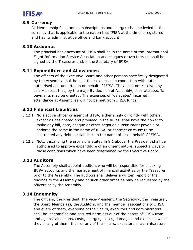

#### **3.9 Currency**

All Membership fees, annual subscriptions and charges shall be levied in the currency that is applicable to the nation that IFISA at the time is registered and has its administrative office and bank account.

#### <span id="page-14-0"></span>**3.10 Accounts**

The principal bank account of IFISA shall be in the name of the International Flight Information Service Association and cheques drawn thereon shall be signed by the Treasurer and/or the Secretary of IFISA.

#### <span id="page-14-2"></span><span id="page-14-1"></span>**3.11 Expenditure and Allowances**

The officers of the Executive Board and other persons specifically designated by the Assembly shall be paid their expenses in connection with duties authorised and undertaken on behalf of IFISA. They shall not receive any salary except that, by the majority decision of Assembly, separate specific payments may be granted. The expenses of "delegates" incurred in attendance at Assemblies will not be met from IFISA funds.

#### **3.12 Financial Liabilities**

- <span id="page-14-3"></span>3.12.1 No elective officer or agent of IFISA, either singly or jointly with others, except as designated and provided in the Rules, shall have the power to make any bill, note, cheque or other negotiable instrument payable or endorse the same in the name of IFISA, or contract or cause to be contracted any debts or liabilities in the name of or on behalf of IFISA.
- 3.12.2 Notwithstanding the provisions stated in 8.1 above, the President shall be authorised to approve expenditure of an urgent nature, subject always to those conditions which have been determined by the Executive Board.

#### <span id="page-14-4"></span>**3.13 Auditors**

The Assembly shall appoint auditors who will be responsible for checking IFISA accounts and the management of financial activities by the Treasurer prior to the Assembly. The auditors shall deliver a written report of their findings to the Assembly and at such other times as may be requested by the officers or by the Assembly.

#### <span id="page-14-5"></span>**3.14 Indemnity**

The officers, the President, the Vice-President, the Secretary, the Treasurer, the Board Member(s), the Auditors, and the member associations of IFISA and every of them, everyone of their heirs, executors and administrators shall be indemnified and secured harmless out of the assets of IFISA from and against all actions, costs, charges, losses, damages and expenses which they or any of them, their or any of their heirs, executors or administrators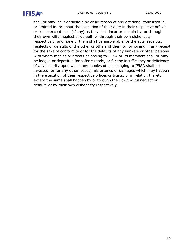

shall or may incur or sustain by or by reason of any act done, concurred in, or omitted in, or about the execution of their duty in their respective offices or trusts except such (if any) as they shall incur or sustain by, or through their own wilful neglect or default, or through their own dishonesty respectively, and none of them shall be answerable for the acts, receipts, neglects or defaults of the other or others of them or for joining in any receipt for the sake of conformity or for the defaults of any bankers or other persons with whom monies or effects belonging to IFISA or its members shall or may be lodged or deposited for safer custody, or for the insufficiency or deficiency of any security upon which any monies of or belonging to IFISA shall be invested, or for any other losses, misfortunes or damages which may happen in the execution of their respective offices or trusts, or in relation thereto, except the same shall happen by or through their own wilful neglect or default, or by their own dishonesty respectively.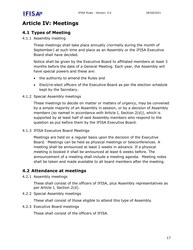

#### **Article IV: Meetings**

#### **4.1 Types of Meeting**

<span id="page-16-0"></span>4.1.1 Assembly meeting

<span id="page-16-1"></span>These meetings shall take place annually (normally during the month of September) at such time and place as an Assembly or the IFISA Executive Board shall have decided.

Notice shall be given by the Executive Board to affiliated members at least 3 months before the date of a General Meeting. Each year, the Assembly will have special powers and these are:

- the authority to amend the Rules and
- Elect/re-elect officers of the Executive Board as per the election schedule kept by the Secretary.

#### 4.1.2 Special Assembly meetings

These meetings to decide on matter or matters of urgency, may be convened by a simple majority of an Assembly in session, or by a decision of Assembly members (so named in accordance with Article I, Section 2(d)), which is supported by at least half of said Assembly members who respond to the question as put before them by the IFISA Executive Board.

4.1.3 IFISA Executive Board Meetings

Meetings are held on a regular basis upon the decision of the Executive Board. Meetings can be held as physical meetings or teleconferences. A meeting shall be announced at least 2 weeks in advance. If a physical meeting is booked it shall be announced at least 6 weeks before. The announcement of a meeting shall include a meeting agenda. Meeting notes shall be taken and made available to all board members after the meeting.

#### **4.2 Attendance at meetings**

4.2.1 Assembly meetings

These shall consist of the officers of IFISA, plus Assembly representatives as per Article I, Section 2(d).

<span id="page-16-2"></span>4.2.2 Special Assembly meetings

These shall consist of those eligible to attend this type of Assembly.

4.2.3 Executive Board meetings

These shall consist of the officers of IFISA.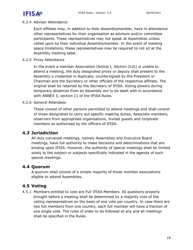#### 4.2.4 Advisor Attendance

Each affiliate may, in addition to their Assemblymember, have in attendance other representatives for their organisation as advisors and/or committee participants. These representatives may not speak at Assemblies unless called upon by their individual Assemblymember. In the event of meeting space limitations, these representatives may be required to not sit at the Assembly meeting table.

#### 4.2.5 Proxy Attendance

In the event a member Association (Article I, Section 2(d)) is unable to attend a meeting, the duly designated proxy or deputy shall present to the Assembly a credential in duplicate, countersigned by the President or Chairman and the Secretary or other officials of the respective affiliate. The original shall be retained by the Secretary of IFISA. Voting powers during temporary absences from an Assembly are to be dealt with in accordance with ANNEX 3, section 11 of the IFISA Rules.

#### 4.2.6 General Attendees

These consist of other persons permitted to attend meetings and shall consist of those designated to carry out specific meeting duties, Associate members, observers from appropriate organisations, invited guests and corporate members as authorised by the officers of IFISA.

#### **4.3 Jurisdiction**

<span id="page-17-0"></span>All duly convened meetings, namely Assemblies and Executive Board meetings, have full authority to make decisions and determinations that are binding upon IFISA. However, the authority of special meetings shall be limited solely to the subject or subjects specifically indicated in the agenda of such special meetings.

#### **4.4 Quorum**

A quorum shall consist of a simple majority of those member associations eligible to attend Assemblies.

#### <span id="page-17-1"></span>**4.5 Voting**

<span id="page-17-2"></span>4.5.1 Members entitled to vote are Full IFISA Members. All questions properly brought before a meeting shall be determined by a majority vote of the voting representatives on the basis of one vote per country. In case there are two full members from one country, each full member will have a fraction of one single vote. The rules of order to be followed at any and all meetings shall be specified in the Rules.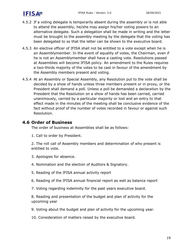

- 4.5.2 If a voting delegate is temporarily absent during the assembly or is not able to attend the assembly, he/she may assign his/her voting powers to an alternative delegate. Such a delegation shall be made in writing and the letter must be brought to the assembly meeting by the delegate that the voting has been delegated to so that the letter can be shown to the executive board.
- 4.5.3 An elective officer of IFISA shall not be entitled to a vote except when he is an Assemblymember. In the event of equality of votes, the Chairman, even if he is not an Assemblymember shall have a casting vote. Resolutions passed at Assemblies will become IFISA policy. An amendment to the Rules requires a two-thirds majority of the votes to be cast in favour of the amendment by the Assembly members present and voting.
- 4.5.4 At an Assembly or Special Assembly, any Resolution put to the vote shall be decided by a show of hands unless three members present or in proxy, or the President shall demand a poll. Unless a poll be demanded a declaration by the President that the Resolution on a show of hands has been carried, carried unanimously, carried by a particular majority or lost and an entry to that effect made in the minutes of the meeting shall be conclusive evidence of the fact without proof of the number of votes recorded in favour or against such Resolution.

#### **4.6 Order of Business**

The order of business at Assemblies shall be as follows:

<span id="page-18-0"></span>1. Call to order by President.

2. The roll call of Assembly members and determination of who present is entitled to vote.

- 3. Apologies for absence.
- 4. Nomination and the election of Auditors & Signatory.
- 5. Reading of the IFISA annual activity report
- 6. Reading of the IFISA annual financial report as well as balance report
- 7. Voting regarding indemnity for the past years executive board.

8. Reading and presentation of the budget and plan of activity for the upcoming year

- 9. Voting about the budget and plan of activity for the upcoming year.
- 10. Consideration of matters raised by the executive board.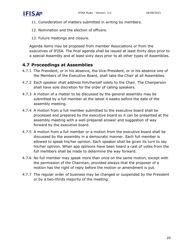

- 11. Consideration of matters submitted in writing by members.
- 12. Nomination and the election of officers.
- 13. Future meetings and closure.

Agenda items may be proposed from member Associations or from the executives of IFISA. The final agenda shall be issued at least thirty days prior to a special Assembly and at least sixty days prior to all other types of Assemblies.

#### **4.7 Proceedings at Assemblies**

- 4.7.1 The President, or in his absence, the Vice-President, or in his absence one of the Members of the Executive Board, shall take the Chair at all Assemblies.
- <span id="page-19-0"></span>4.7.2 Each speaker shall address him/herself solely to the Chair. The Chairperson shall have sole discretion for the order of calling speakers.
- 4.7.3 A motion of a matter to be discussed by the general assembly may be submitted by a full member at the latest 4 weeks before the date of the assembly meeting.
- 4.7.4 A motion from a full member submitted to the executive board shall be processed and prepared by the executive board so it can be presented at the assembly meeting with a well-prepared answer and suggestion of way forward by the executive board.
- 4.7.5 A motion from a full member or a motion from the executive board shall be discussed by the assembly in a democratic manner. Each full member is allowed to speak his/her opinion. Each speaker shall be given its turn to say his/her opinion. When app opinions have been heard a cast of votes from the full members shall be made to determine the way forward.
- 4.7.6 No full member may speak more than once on the same motion, except with the permission of the Chairman, provided always that the proposer of a motion has the right of reply before the motion or amendment is put.
- 4.7.7 The regular order of business may be changed or suspended by the President or by a two-thirds majority of the meeting.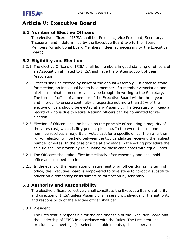

#### **Article V: Executive Board**

#### <span id="page-20-0"></span>**5.1 Number of Elective Officers**

<span id="page-20-1"></span>The elective officers of IFISA shall be: President, Vice President, Secretary, Treasurer, and if determined by the Executive Board two further Board Members (or additional Board Members if deemed necessary by the Executive Board).

#### **5.2 Eligibility and Election**

- 5.2.1 The elective Officers of IFISA shall be members in good standing or officers of an Association affiliated to IFISA and have the written support of their Association.
- <span id="page-20-2"></span>5.2.2 Officers shall be elected by ballot at the annual Assembly. In order to stand for election, an individual has to be a member of a member Association and his/her nomination need previously be brought in writing to the Secretary. The terms of office of a member of the Executive Board will be three years and in order to ensure continuity of expertise not more than 50% of the elective officers should be elected at any Assembly. The Secretary will keep a record of who is due to Retire. Retiring officers can be nominated for reelection.
- 5.2.3 Election of Officers shall be based on the principle of requiring a majority of the votes cast, which is fifty percent plus one. In the event that no one nominee receives a majority of votes cast for a specific office, then a further run-off election will be held between the two candidates receiving the highest number of votes. In the case of a tie at any stage in the voting procedure the said tie shall be broken by revaluating for those candidates with equal votes.
- 5.2.4 The Officer/s shall take office immediately after Assembly and shall hold office as described herein.
- 5.2.5 In the event of the resignation or retirement of an officer during his term of office, the Executive Board is empowered to take steps to co-opt a substitute officer on a temporary basis subject to ratification by Assembly.

#### **5.3 Authority and Responsibility**

The elective officers collectively shall constitute the Executive Board authority and direction of IFISA unless Assembly is in session. Individually, the authority and responsibility of the elective officer shall be:

#### <span id="page-20-3"></span>5.3.1 President

The President is responsible for the chairmanship of the Executive Board and the leadership of IFISA in accordance with the Rules. The President shall preside at all meetings (or select a suitable deputy), shall supervise all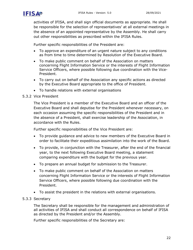

activities of IFISA, and shall sign official documents as appropriate. He shall be responsible for the selection of representatives' at all external meetings in the absence of an appointed representative by the Assembly. He shall carry out other responsibilities as prescribed within the IFISA Rules.

Further specific responsibilities of the President are:

- To approve an expenditure of an urgent nature subject to any conditions as from time to time determined by Resolution of the Executive Board.
- To make public comment on behalf of the Association on matters concerning Flight Information Service or the interests of Flight Information Service Officers, where possible following due coordination with the Vice-President.
- To carry out on behalf of the Association any specific actions as directed by the Executive Board appropriate to the office of President.
- To handle relations with external organisations

#### 5.3.2 Vice President

The Vice President is a member of the Executive Board and an officer of the Executive Board and shall deputise for the President whenever necessary, on each occasion assuming the specific responsibilities of the President and in the absence of a President, shall exercise leadership of the Association, in accordance with the Rules.

Further specific responsibilities of the Vice President are:

- To provide guidance and advice to new members of the Executive Board in order to facilitate their expeditious assimilation into the work of the Board.
- To provide, in conjunction with the Treasurer, after the end of the financial year, to the next following Executive Board meeting, a statement comparing expenditure with the budget for the previous year.
- To prepare an annual budget for submission to the Treasurer.
- To make public comment on behalf of the Association on matters concerning Flight Information Service or the interests of Flight Information Service Officers, where possible following due coordination with the President.
- To assist the president in the relations with external organisations.

#### 5.3.3 Secretary

The Secretary shall be responsible for the management and administration of all activities of IFISA and shall conduct all correspondence on behalf of IFISA as directed by the President and/or the Assembly.

Further specific responsibilities of the Secretary are: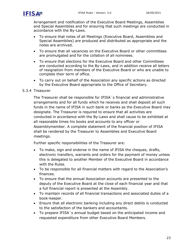Arrangement and notification of the Executive Board Meetings, Assemblies and Special Assemblies and for ensuring that such meetings are conducted in accordance with the By-Laws.

- To ensure that notes of all Meetings (Executive Board, Assemblies and Special Assemblies) are produced and distributed as appropriate and the notes are archived.
- To ensure that all vacancies on the Executive Board or other committees are promulgated and for the collation of all nominees.
- To ensure that elections for the Executive Board and other Committees are conducted according to the By-Laws, and in addition receive all letters of resignation from members of the Executive Board or who are unable to complete their term of office.
- To carry out on behalf of the Association any specific actions as directed by the Executive Board appropriate to the Office of Secretary.

#### 5.3.4 Treasurer

The Treasurer shall be responsible for IFISA´s financial and administrative arrangements and for all funds which he receives and shall deposit all such funds in the name of IFISA in such bank or banks as the Executive Board may designate. The Treasurer is required to ensure that all activities are conducted in accordance with the By-Laws and shall cause to be exhibited at all reasonable times his books and accounts to any officer or Assemblymember. A complete statement of the financial position of IFISA shall be rendered by the Treasurer to Assemblies and Executive Board meetings.

Further specific responsibilities of the Treasurer are:

- To make, sign and endorse in the name of IFISA the cheques, drafts, electronic transfers, warrants and orders for the payment of money unless this is delegated to another Member of the Executive Board in accordance with the Rules.
- To be responsible for all financial matters with regard to the Association's finances.
- To ensure that the annual Association accounts are presented to the deputy of the Executive Board at the close of each financial year and that a full financial report is presented at the Assembly.
- To maintain records of all financial transactions and associated duties of a book-keeper.
- Ensure that all electronic banking including any direct debits is conducted to the satisfaction of the bankers and accountants.
- To prepare IFISA´s annual budget based on the anticipated income and requested expenditure from other Executive Board Members.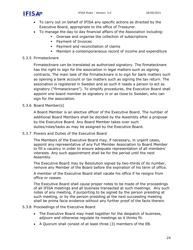

- To carry out on behalf of IFISA any specific actions as directed by the Executive Board, appropriate to the office of Treasurer.
- To manage the day to day financial affairs of the Association including:
	- Oversee and organise the collection of subscriptions
	- Payment of Invoices
	- Payment and reconciliation of claims
	- Maintain a contemporaneous record of income and expenditure

#### 5.3.5 Firmatecknare

Firmatecknare can be translated as authorized signatory. The firmatecknare has the right to sign for the association in legal matters such as signing contracts. The main task of the firmatecknare is to sign for bank matters such as opening a bank account or tax matters such as signing the tax return. The association is registered in Sweden and as such it needs a person to act as signatory ("firmatecknare"). To simplify procedures, the Executive Board shall appoint one board member as signatory in or as close to Sweden, who can sign for the association.

5.3.6 Board Member(s)

A Board Member is an elective officer of the Executive Board. The number of additional Board Members shall be decided by the Assembly after a proposal by the Executive Board. Any Board Member takes over such duties/roles/tasks as may be assigned by the Executive Board.

5.3.7 Powers and Duties of the Executive Board

The Members of the Executive Board may, if necessary, in urgent cases, appoint any representative of any Full Member Association to Board Member to fill a vacancy in order to ensure adequate representation of all members' interests. Any such appointment shall be for the period until the next Assembly.

The Executive Board may by Resolution signed by two-thirds of its number, remove any Member of the Board before the expiration of his term of office.

A member of the Executive Board shall vacate his office if he resigns from office or ceases.

The Executive Board shall cause proper notes to be made of the proceedings of all IFISA meetings and all business transacted at such meetings. Any such notes of any meeting, if purporting to be signed by the person presiding at such meeting, or by the person presiding at the next succeeding meeting shall be prima facie evidence without any further proof of the facts therein.

5.3.8 Proceedings of the Executive Board

- The Executive Board may meet together for the despatch of business, adjourn and otherwise regulate its meetings as it thinks fit.
- A Quorum shall consist of at least three (3) members of the EB.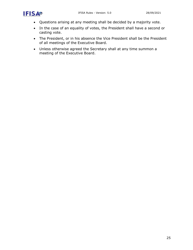- Questions arising at any meeting shall be decided by a majority vote.
- In the case of an equality of votes, the President shall have a second or casting vote.
- The President, or in his absence the Vice President shall be the President of all meetings of the Executive Board.
- <span id="page-24-0"></span>• Unless otherwise agreed the Secretary shall at any time summon a meeting of the Executive Board.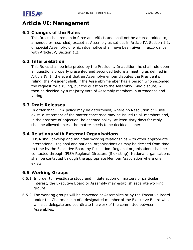

#### **Article VI: Management**

#### **6.1 Changes of the Rules**

<span id="page-25-0"></span>This Rules shall remain in force and effect, and shall not be altered, added to, amended or rescinded, except at Assembly as set out in Article IV, Section 1.1, or special Assembly, of which due notice shall have been given in accordance with Article IV, Section 1.2.

#### **6.2 Interpretation**

<span id="page-25-1"></span>This Rules shall be interpreted by the President. In addition, he shall rule upon all questions properly presented and seconded before a meeting as defined in Article IV. In the event that an Assemblymember disputes the President's ruling, the President shall, if the Assemblymember has a person who seconded the request for a ruling, put the question to the Assembly. Said dispute, will then be decided by a majority vote of Assembly members in attendance and voting.

#### **6.3 Draft Releases**

<span id="page-25-2"></span>In order that IFISA policy may be determined, where no Resolution or Rules exist, a statement of the matter concerned may be issued to all members and, in the absence of objection, be deemed policy. At least sixty days for reply shall be allowed unless the matter needs to be decided sooner.

#### **6.4 Relations with External Organisations**

<span id="page-25-3"></span>IFISA shall develop and maintain working relationships with other appropriate international, regional and national organisations as may be decided from time to time by the Executive Board by Resolution. Regional organisations shall be contacted through IFISA Regional Directors (if existing). National organisations shall be contacted through the appropriate Member Association where one exists.

#### **6.5 Working Groups**

- <span id="page-25-4"></span>6.5.1 In order to investigate study and initiate action on matters of particular interest, the Executive Board or Assembly may establish separate working groups.
- 6.5.2 The working groups will be convened at Assemblies or by the Executive Board under the Chairmanship of a designated member of the Executive Board who will also delegate and coordinate the work of the committee between Assemblies.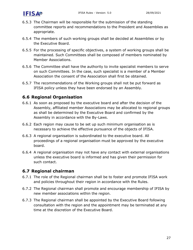

- 6.5.3 The Chairman will be responsible for the submission of the standing committee reports and recommendations to the President and Assemblies as appropriate.
- 6.5.4 The members of such working groups shall be decided at Assemblies or by the Executive Board.
- 6.5.5 For the processing of specific objectives, a system of working groups shall be maintained. Such Committees shall be composed of members nominated by Member Associations.
- 6.5.6 The Committee shall have the authority to invite specialist members to serve on such Committees. In the case, such specialist is a member of a Member Association the consent of the Association shall first be obtained.
- 6.5.7 The recommendations of the Working groups shall not be put forward as IFISA policy unless they have been endorsed by an Assembly.

#### **6.6 Regional Organisation**

- <span id="page-26-0"></span>6.6.1 As soon as proposed by the executive board and after the decision of the Assembly, affiliated member Associations may be allocated to regional groups as shall be determined by the Executive Board and confirmed by the Assembly in accordance with the By-Laws.
- 6.6.2 Each region may cause to be set up such minimum organisation as is necessary to achieve the effective pursuance of the objects of IFISA.
- 6.6.3 A regional organisation is subordinated to the executive board. All proceedings of a regional organisation must be approved by the executive board.
- 6.6.4 A regional organisation may not have any contact with external organisations unless the executive board is informed and has given their permission for such contact.

#### **6.7 Regional chairman**

- 6.7.1 The role of the Regional chairman shall be to foster and promote IFISA work and policies throughout their region in accordance with the Rules.
- <span id="page-26-1"></span>6.7.2 The Regional chairman shall promote and encourage membership of IFISA by new member associations within the region.
- 6.7.3 The Regional chairman shall be appointed by the Executive Board following consultation with the region and the appointment may be terminated at any time at the discretion of the Executive Board.